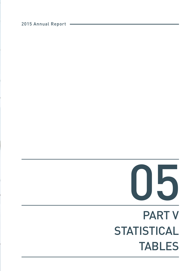# PART V **STATISTICAL** TABLES



2015 Annual Report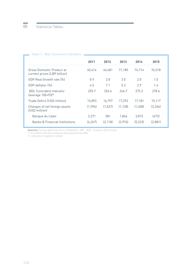| Table 1 - Main Fconomic Indicators                        |          |          |          |          |          |
|-----------------------------------------------------------|----------|----------|----------|----------|----------|
|                                                           | 2011     | 2012     | 2013     | 2014     | 2015     |
|                                                           |          |          |          |          |          |
| Gross Domestic Product at<br>current prices (LBP billion) | 60,414   | 66,481   | 71.185   | 74,714   | 76,518   |
| GDP Real Growth rate [%]                                  | 0.9      | 2.8      | 3.0      | 2.0      | 1.0      |
| GDP deflator [%]                                          | 4.5      | 7.1      | 5.3      | 2.9      | 1.4      |
| <b>BDI</b> Coincident Indicator<br>(average 100=93)*      | 255.7    | 256.6    | 264.7    | 273.2    | 278.6    |
| Trade Deficit (USD million)                               | 15,893   | 16,797   | 17,292   | 17,181   | 15,117   |
| Changes of net foreign assets<br>(USD million)            | (1,996)  | (1, 537) | (1, 128) | (1,408)  | (3, 354) |
| Banque du Liban                                           | 2,271    | 581      | 1,846    | 3,815    | (473)    |
| <b>Banks &amp; Financial Institutions</b>                 | (4, 267) | [2.118]  | (2,974)  | (5, 223) | (2,881)  |

**Sources:** Central Administration of Statistics -IMF - BDL- Customs Directorate

\* Coincident indicator prepared and published by BDL

( ) indicates a negative number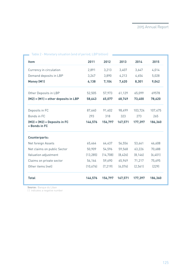| <b>Item</b>                                     | 2011      | 2012      | 2013    | 2014     | 2015    |
|-------------------------------------------------|-----------|-----------|---------|----------|---------|
| Currency in circulation                         | 2,891     | 3,213     | 3,407   | 3,647    | 4,014   |
| Demand deposits in LBP                          | 3,247     | 3,890     | 4,213   | 4,654    | 5,028   |
| Money (M1)                                      | 6,138     | 7,104     | 7,620   | 8,301    | 9,042   |
| Other Deposits in LBP                           | 52,505    | 57,973    | 61,129  | 65,099   | 69578   |
| $(M2) = (M1) + other deposits in LBP$           | 58,643    | 65,077    | 68,749  | 73,400   | 78,620  |
| Deposits in FC                                  | 87,640    | 91,402    | 98,499  | 103,724  | 107,475 |
| Bonds in FC                                     | 293       | 318       | 323     | 273      | 265     |
| $(M3) = (M2) + Deposits in FC$<br>+ Bonds in FC | 146,576   | 156,797   | 167,571 | 177,397  | 186,360 |
| <b>Counterparts:</b>                            |           |           |         |          |         |
| Net foreign Assets                              | 65,464    | 64,437    | 56,556  | 53,661   | 46,608  |
| Net claims on public Sector                     | 50,909    | 54,596    | 59,568  | 63,226   | 70,688  |
| Valuation adjustment                            | (13, 285) | (14, 708) | (8,426) | [8, 146] | (6,401) |
| Claims on private sector                        | 54,164    | 59,690    | 65,949  | 71,217   | 75,695  |
| Other items (net)                               | (10,676)  | (7, 219)  | (6,076) | (2, 561) | (229)   |
| <b>Total</b>                                    | 146,576   | 156,797   | 167,571 | 177,397  | 186,360 |

×.

Table 2 - Monetary situation (end of period, LBP billion)

**Source:** Banque du Liban

( ) indicates a negative number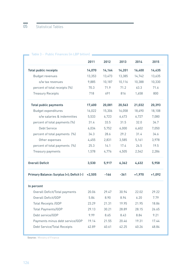|                                           | 2011     | 2012   | 2013   | 2014     | 2015     |
|-------------------------------------------|----------|--------|--------|----------|----------|
| <b>Total public receipts</b>              | 14,070   | 14,164 | 14,201 | 16,400   | 14,435   |
| Budget revenues                           | 13,353   | 13,473 | 13,385 | 14,742   | 13,635   |
| o/w tax revenues                          | 9,885    | 10,187 | 10,116 | 10,388   | 10,330   |
| percent of total receipts (%)             | 70.3     | 71.9   | 71.2   | 63.3     | 71.6     |
| <b>Treasury Receipts</b>                  | 718      | 691    | 816    | 1,658    | 800      |
| <b>Total public payments</b>              | 17,600   | 20,081 | 20,563 | 21,032   | 20,393   |
| Budget expenditures                       | 16,022   | 15,306 | 16,058 | 18,490   | 18,108   |
| o/w salaries & indemnities                | 5,533    | 6,723  | 6,473  | 6,727    | 7,080    |
| percent of total payments (%)             | 31.4     | 33.5   | 31.5   | 32.0     | 34.7     |
| Debt Service                              | 6,034    | 5,752  | 6,000  | 6,602    | 7,050    |
| percent of total payments (%)             | 34.3     | 28.6   | 29.2   | 31.4     | 34.6     |
| Other expenses                            | 4,455    | 2,831  | 3,585  | 5,161    | 3,978    |
| percent of total payments (%)             | 25.3     | 14.1   | 17.4   | 24.5     | 19.5     |
| Treasury payments                         | 1,578    | 4,776  | 4,505  | 2,542    | 2,286    |
| <b>Overall Deficit</b>                    | 3,530    | 5,917  | 6,362  | 4,632    | 5,958    |
| Primary Balance: Surplus (+); Deficit (-) | $+2,505$ | $-166$ | $-361$ | $+1,970$ | $+1,092$ |
| In percent                                |          |        |        |          |          |
| Overall Deficit/Total payments            | 20.06    | 29.47  | 30.94  | 22.02    | 29.22    |
| Overall Deficit/GDP                       | 5.84     | 8.90   | 8.94   | 6.20     | 7.79     |
| <b>Total Receipts /GDP</b>                | 23.29    | 21.31  | 19.95  | 21.95    | 18.86    |
| <b>Total Payments/GDP</b>                 | 29.13    | 30.21  | 28.89  | 28.15    | 26.65    |
| Debt service/GDP                          | 9.99     | 8.65   | 8.43   | 8.84     | 9.21     |
| Payments minus debt service/GDP           | 19.14    | 21.55  | 20.46  | 19.31    | 17.44    |
| Debt Service/Total Receipts               | 42.89    | 40.61  | 42.25  | 40.26    | 48.84    |

#### Table 3 - Public Finances (in LBP billion)

**Source:** Ministry of Finance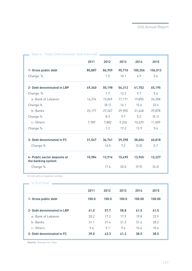| Table 4 - Public Debt Evolution Tend of periodJ    |        |        |        |         |         |
|----------------------------------------------------|--------|--------|--------|---------|---------|
|                                                    | 2011   | 2012   | 2013   | 2014    | 2015    |
| 1- Gross public debt                               | 80,887 | 86,959 | 95,710 | 100,356 | 106,013 |
| Change %                                           |        | 7.5    | 10.1   | 4.9     | 5.6     |
| 2- Debt denominated in LBP                         | 49,340 | 50,198 | 56,312 | 61,752  | 65,195  |
| Change %                                           |        | 1.7    | 12.2   | 9.7     | 5.6     |
| a- Bank of Lebanon                                 | 16,374 | 15,049 | 17,171 | 19,855  | 24,308  |
| Change %                                           |        | (8.1)  | 14.1   | 15.6    | 22.4    |
| b- Banks                                           | 25,177 | 27,267 | 29,905 | 31,468  | 29,878  |
| Change %                                           |        | 8.3    | 9.7    | 5.2     | (5.1)   |
| c-Others                                           | 7,789  | 7,882  | 9,236  | 10,429  | 11,009  |
| Change %                                           |        | 1.2    | 17.2   | 12.9    | 5.6     |
| 3- Debt denominated in FC                          | 31,547 | 36,761 | 39,398 | 38,604  | 40,818  |
| Change %                                           |        | 16.5   | 7.2    | (2.0)   | 5.7     |
| 4- Public sector deposits at<br>the banking system | 10,984 | 12,916 | 15,495 | 13,965  | 13,227  |
| Change %                                           |        | 17.6   | 20.0   | (9.9)   | (5.3)   |
| () indicates a negative number                     |        |        |        |         |         |
| In % of Total                                      |        |        |        |         |         |

|                            | 2011  | 2012  | 2013  | 2014   | 2015   |
|----------------------------|-------|-------|-------|--------|--------|
| 1- Gross public debt       | 100.0 | 100.0 | 100.0 | 100.00 | 100.00 |
| 2- Debt denominated in LBP | 61.0  | 57.7  | 58.8  | 61.5   | 61.5   |
| a-Bank of Lebanon          | 20.2  | 17.3  | 17.9  | 19.8   | 22.9   |
| b-Banks                    | 31.1  | 31.4  | 31.2  | 31.4   | 28.2   |
| c-Others                   | 9.6   | 9.1   | 9.6   | 10.4   | 10.4   |
| 3- Debt denominated in FC  | 39.0  | 42.3  | 41.2  | 38.5   | 38.5   |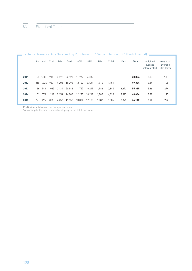# 05 Statistical Tables

|      | 3 M | 6M            | 12M   | 24M   | 36M    | 60M    | 84M    | 96M                      | 120M  | 144M  | <b>Total</b> | weighted<br>average<br>interest* [%] | weighted<br>average<br>life* (days) |
|------|-----|---------------|-------|-------|--------|--------|--------|--------------------------|-------|-------|--------------|--------------------------------------|-------------------------------------|
| 2011 |     | 127 1.581     | 911   | 3.972 | 22.129 | 11,779 | 7.885  | $\overline{\phantom{a}}$ |       |       | 48.384       | 6.83                                 | 955                                 |
| 2012 |     | 316 1.324 987 |       | 4,208 | 18,292 | 12,162 | 8.978  | 1.916                    | 1.151 | -     | 49.334       | 6.54                                 | 1,105                               |
| 2013 | 166 | 946           | 1.035 | 2,131 | 20,942 | 11,747 | 10,219 | 1,982                    | 2,844 | 3,373 | 55.385       | 6.86                                 | 1,274                               |
| 2014 | 101 | 570           | 1.217 | 2,154 | 24,005 | 12,233 | 10.219 | 1,982                    | 4.790 | 3.373 | 60,644       | 6.89                                 | 1,193                               |
| 2015 | 72  | 475           | 821   | 4.258 | 19.952 | 13,074 | 12.100 | 1,982                    | 8.005 | 3,373 | 64,112       | 6.94                                 | 1,222                               |

### Table 5 - Treasury Bills Outstanding Potfolio in LBP (Value in billion LBP) (End of period)  $\quad \blacksquare$

**Preliminary data source:** Banque du Liban

\*According to the share of each category in the total Portfolio.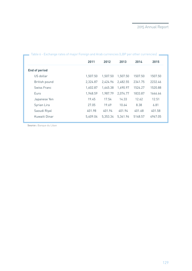| Table o - Exchange rates of major Foreign and Arab currencies (LBP per other currencies) |          |          |          |         |         |
|------------------------------------------------------------------------------------------|----------|----------|----------|---------|---------|
|                                                                                          | 2011     | 2012     | 2013     | 2014    | 2015    |
| <b>End of period</b>                                                                     |          |          |          |         |         |
| US dollar                                                                                | 1,507.50 | 1,507.50 | 1,507.50 | 1507.50 | 1507.50 |
| British pound                                                                            | 2,324.87 | 2,424.96 | 2,482.55 | 2341.75 | 2232.46 |
| Swiss Franc                                                                              | 1,602.87 | 1,645.38 | 1,690.97 | 1524.27 | 1520.88 |
| Euro                                                                                     | 1,948.59 | 1,987.79 | 2,074.77 | 1833.87 | 1646.64 |
| Japanese Yen                                                                             | 19.45    | 17.54    | 14.33    | 12.62   | 12.51   |
| Syrian Lira                                                                              | 27.05    | 19.69    | 10.64    | 8.38    | 6.81    |
| Saoudi Riyal                                                                             | 401.98   | 401.94   | 401.94   | 401.68  | 401.58  |
| Kuwaiti Dinar                                                                            | 5,409.04 | 5,353.34 | 5,341.96 | 5148.57 | 4967.05 |

Table 6 - Exchange rates of major Foreign and Arab currencies (LBP per other currencies)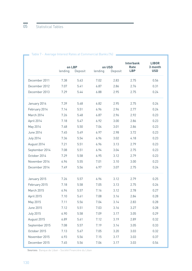|                  | on LBP  |         |         | on USD  | <b>Interbank</b><br>Rate | <b>LIBOR</b><br>3 month |
|------------------|---------|---------|---------|---------|--------------------------|-------------------------|
|                  | lending | Deposit | lending | Deposit | <b>LBP</b>               | <b>USD</b>              |
| December 2011    | 7.38    | 5.63    | 7.02    | 2.83    | 2.75                     | 0.56                    |
| December 2012    | 7.07    | 5.41    | 6.87    | 2.86    | 2.76                     | 0.31                    |
| December 2013    | 7.29    | 5.44    | 6.88    | 2.95    | 2.75                     | 0.24                    |
| January 2014     | 7.39    | 5.48    | 6.82    | 2.95    | 2.75                     | 0.24                    |
| February 2014    | 7.14    | 5.51    | 6.96    | 2.96    | 2.77                     | 0.24                    |
| March 2014       | 7.26    | 5.48    | 6.87    | 2.96    | 2.92                     | 0.23                    |
| April 2014       | 7.18    | 5.47    | 6.92    | 3.00    | 2.86                     | 0.23                    |
| May 2014         | 7.48    | 5.50    | 7.04    | 3.01    | 2.86                     | 0.23                    |
| June 2014        | 7.45    | 5.49    | 6.97    | 2.98    | 3.72                     | 0.23                    |
| <b>July 2014</b> | 7.36    | 5.54    | 6.96    | 3.02    | 4.18                     | 0.23                    |
| August 2014      | 7.21    | 5.51    | 6.96    | 3.13    | 2.79                     | 0.23                    |
| September 2014   | 7.08    | 5.51    | 6.94    | 3.04    | 2.75                     | 0.23                    |
| October 2014     | 7.29    | 5.58    | 6.95    | 3.12    | 2.79                     | 0.23                    |
| November 2014    | 6.96    | 5.55    | 7.01    | 3.10    | 3.00                     | 0.23                    |
| December 2014    | 7.49    | 5.56    | 6.97    | 3.07    | 2.75                     | 0.24                    |
| January 2015     | 7.26    | 5.57    | 6.96    | 3.12    | 2.79                     | 0.25                    |
| February 2015    | 7.18    | 5.58    | 7.05    | 3.13    | 2.75                     | 0.26                    |
| March 2015       | 6.94    | 5.57    | 7.16    | 3.12    | 2.78                     | 0.27                    |
| April 2015       | 7.10    | 5.61    | 7.08    | 3.16    | 2.84                     | 0.28                    |
| May 2015         | 7.11    | 5.56    | 7.04    | 3.14    | 2.83                     | 0.28                    |
| June 2015        | 7.12    | 5.51    | 7.03    | 3.16    | 3.27                     | 0.28                    |
| <b>July 2015</b> | 6.90    | 5.58    | 7.09    | 3.17    | 3.05                     | 0.29                    |
| August 2015      | 6.89    | 5.61    | 7.12    | 3.19    | 2.89                     | 0.32                    |
| September 2015   | 7.08    | 5.57    | 7.19    | 3.14    | 3.05                     | 0.33                    |
| October 2015     | 7.13    | 5.67    | 7.05    | 3.20    | 3.03                     | 0.32                    |
| November 2015    | 6.93    | 5.56    | 7.15    | 3.17    | 3.03                     | 0.37                    |
| December 2015    | 7.45    | 5.56    | 7.06    | 3.17    | 3.03                     | 0.54                    |

## Table 7 - Average Interest Rates at Commercial Banks (%)

**Sources:** Banque de Liban - Société Financière du Liban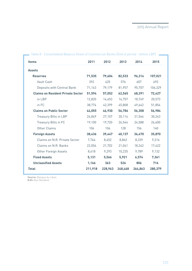| Consolidated Datance Direct of Commercial Danks (End or period - bittion EDT )<br><b>Items</b> | 2011    | 2012    | 2013    | 2014    | 2015    |
|------------------------------------------------------------------------------------------------|---------|---------|---------|---------|---------|
| <b>Assets</b>                                                                                  |         |         |         |         |         |
| <b>Reserves</b>                                                                                | 71,535  | 79,604  | 82,533  | 96,314  | 107,021 |
| Vault Cash                                                                                     | 392     | 425     | 576     | 607     | 693     |
| Deposits with Central Bank                                                                     | 71,143  | 79,179  | 81,957  | 95,707  | 106,329 |
| <b>Claims on Resident Private Sector</b>                                                       | 51,594  | 57,052  | 62,565  | 68,391  | 72,427  |
| in LBP                                                                                         | 12,820  | 14,653  | 16,757  | 18,749  | 20,573  |
| in FC                                                                                          | 38,774  | 42,399  | 45,808  | 49,642  | 51,854  |
| <b>Claims on Public Sector</b>                                                                 | 44,055  | 46,930  | 56,786  | 56,308  | 56,984  |
| Treasury Bills in LBP                                                                          | 24,849  | 27,107  | 30,114  | 31,564  | 30,243  |
| Treasury Bills in FC                                                                           | 19,100  | 19,720  | 26,544  | 24,588  | 26,600  |
| Other Claims                                                                                   | 106     | 104     | 128     | 156     | 140     |
| <b>Foreign Assets</b>                                                                          | 38,436  | 39,447  | 40,137  | 36,470  | 35,870  |
| Claims on N.R. Private Sector                                                                  | 7,764   | 8,452   | 8,862   | 8,339   | 9,316   |
| Claims on N.R. Banks                                                                           | 22,054  | 21,702  | 21,041  | 18,342  | 17,422  |
| Other Foreign Assets                                                                           | 8,618   | 9,293   | 10,235  | 9,789   | 9,132   |
| <b>Fixed Assets</b>                                                                            | 5,131   | 5,566   | 5,921   | 6,574   | 7,361   |
| <b>Unclassified Assets</b>                                                                     | 1,166   | 363     | 526     | 806     | 716     |
| <b>Total</b>                                                                                   | 211,918 | 228,963 | 248,468 | 264,863 | 280,379 |

Table 8 - Consolidated Balance Sheet of Commercial Banks (End of period - billion LBP)

**Source:** Banque du Liban. **N.R=** Non Resident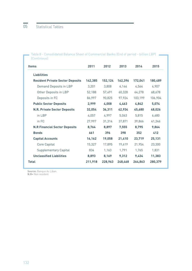$\hskip1cm$  Table 8 - Consolidated Balance Sheet of Commercial Banks (End of period - billion LBP)  $\hskip1cm$   $\hskip1cm$ (Continious)

| <b>Items</b>                            | 2011    | 2012    | 2013    | 2014    | 2015    |
|-----------------------------------------|---------|---------|---------|---------|---------|
| <b>Liabilities</b>                      |         |         |         |         |         |
| <b>Resident Private Sector Deposits</b> | 142.385 | 152,124 | 162,396 | 172,041 | 180,489 |
| Demand Deposits in LBP                  | 3,201   | 3,808   | 4,144   | 4,564   | 4,907   |
| Other Deposits in LBP                   | 52,188  | 57,491  | 60,328  | 64,278  | 68,678  |
| Deposits in FC                          | 86,997  | 90,825  | 97,924  | 103,199 | 106,904 |
| <b>Public Sector Deposits</b>           | 2,999   | 4,008   | 4.463   | 4,842   | 5.074   |
| <b>N.R. Private Sector Deposits</b>     | 32,054  | 36,311  | 42,934  | 45,680  | 48,026  |
| in LBP                                  | 4,057   | 4,997   | 5,063   | 5,815   | 6,680   |
| in FC                                   | 27,997  | 31,314  | 37,871  | 39,866  | 41,346  |
| <b>N.R Financial Sector Deposits</b>    | 8,764   | 8,897   | 7,555   | 8,795   | 9,864   |
| <b>Bonds</b>                            | 661     | 396     | 398     | 352     | 412     |
| <b>Capital Accounts</b>                 | 16,162  | 19,058  | 21,410  | 23,719  | 25,131  |
| Core Capital                            | 15,327  | 17,895  | 19.619  | 21,954  | 23,300  |
| <b>Supplementary Capital</b>            | 834     | 1,163   | 1,791   | 1,765   | 1,831   |
| <b>Unclassified Liabilities</b>         | 8,893   | 8,169   | 9,312   | 9,434   | 11,383  |
| <b>Total</b>                            | 211,918 | 228,963 | 248,468 | 264.863 | 280,379 |

**Source:** Banque du Liban. **N.R=** Non resident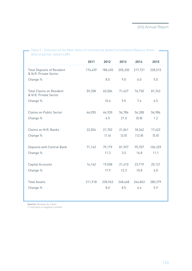| Table 9 - Evolution of the Main Items of commercial banks Consolidated Balance Sheet |         |         |         |         |         |
|--------------------------------------------------------------------------------------|---------|---------|---------|---------|---------|
| (End of period, billion LBP)                                                         |         |         |         |         |         |
|                                                                                      | 2011    | 2012    | 2013    | 2014    | 2015    |
| <b>Total Deposits of Resident</b><br>& N.R. Private Sector                           | 174,439 | 188,435 | 205,330 | 217,721 | 228,515 |
| Change %                                                                             |         | 8.0     | 9.0     | 6.0     | 5.0     |
| <b>Total Claims on Resident</b><br>& N.R. Private Sector                             | 59,358  | 65,504  | 71,427  | 76,730  | 81,743  |
| Change %                                                                             |         | 10.4    | 9.0     | 7.4     | 6.5     |
| <b>Claims on Public Sector</b>                                                       | 44,055  | 46,930  | 56,786  | 56,308  | 56,984  |
| Change %                                                                             |         | 6.5     | 21.0    | (0.8)   | 1.2     |
| Claims on N.R. Banks                                                                 | 22,054  | 21,702  | 21,041  | 18,342  | 17,422  |
| Change %                                                                             |         | (1.6)   | (3.0)   | (12.8)  | (5.0)   |
| Deposits with Central Bank                                                           | 71,143  | 79,179  | 81,957  | 95,707  | 106,329 |
| Change %                                                                             |         | 11.3    | 3.5     | 16.8    | 11.1    |
| Capital Accounts                                                                     | 16,162  | 19,058  | 21,410  | 23,719  | 25,131  |
| Change %                                                                             |         | 17.9    | 12.3    | 10.8    | 6.0     |
| <b>Total Assets</b>                                                                  | 211,918 | 228,963 | 248,468 | 264,863 | 280,379 |
| Change %                                                                             |         | 8.0     | 8.5     | 6.6     | 5.9     |
|                                                                                      |         |         |         |         |         |

**Source:** Banque du Liban.

( ) indicates a negative number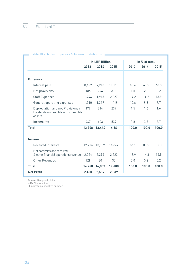|                                                                                     |        | <b>In LBP Billion</b> |        | in % of total |       |       |
|-------------------------------------------------------------------------------------|--------|-----------------------|--------|---------------|-------|-------|
|                                                                                     | 2013   | 2014                  | 2015   | 2013          | 2014  | 2015  |
|                                                                                     |        |                       |        |               |       |       |
| <b>Expenses</b>                                                                     |        |                       |        |               |       |       |
| Interest paid                                                                       | 8,422  | 9,213                 | 10,019 | 68.4          | 68.5  | 68.8  |
| Net provisions                                                                      | 186    | 294                   | 318    | 1.5           | 2.2   | 2.2   |
| <b>Staff Expenses</b>                                                               | 1,744  | 1,913                 | 2,027  | 14.2          | 14.2  | 13.9  |
| General operating expenses                                                          | 1,310  | 1,317                 | 1,419  | 10.6          | 9.8   | 9.7   |
| Depreciation and net Provisions /<br>Dividends on tangible and intangible<br>assets | 179    | 214                   | 239    | 1.5           | 1.6   | 1.6   |
| Income tax                                                                          | 467    | 493                   | 539    | 3.8           | 3.7   | 3.7   |
| <b>Total</b>                                                                        | 12,308 | 13,444                | 14,561 | 100.0         | 100.0 | 100.0 |
| Income                                                                              |        |                       |        |               |       |       |
| Received interests                                                                  | 12,716 | 13,709                | 14,842 | 86.1          | 85.5  | 85.3  |
| Net commissions received<br>& other financial operations revenue                    | 2,054  | 2,294                 | 2,523  | 13.9          | 14.3  | 14.5  |
| Other Revenues                                                                      | (2)    | 30                    | 35     | 0.0           | 0.2   | 0.2   |
| <b>Total</b>                                                                        | 14,768 | 16,033                | 17,400 | 100.0         | 100.0 | 100.0 |
| <b>Net Profit</b>                                                                   | 2,460  | 2,589                 | 2,839  |               |       |       |

## Table 10 - Banks' Expenses & Income Distribution

**Source:** Banque du Liban.

**N.R=** Non resident

**( )** Indicates a negative number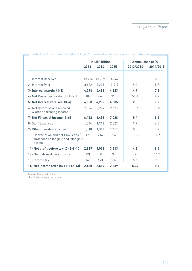|                                                                                         | <b>In LBP Billion</b> |        |        | Annual change (%)        |           |
|-----------------------------------------------------------------------------------------|-----------------------|--------|--------|--------------------------|-----------|
|                                                                                         | 2013                  | 2014   | 2015   | 2013/2014                | 2014/2015 |
|                                                                                         |                       |        |        |                          |           |
| 1- Interest Received                                                                    | 12,716                | 13,709 | 14,842 | 7.8                      | 8.3       |
| 2- Interest Paid                                                                        | 8.422                 | 9,213  | 10,019 | 9.4                      | 8.7       |
| 3- Interest margin (1-2)                                                                | 4,294                 | 4,496  | 4,823  | 4.7                      | 7.3       |
| 4- Net Provisions for doubtful debt                                                     | 186                   | 294    | 318    | 58.1                     | 8.2       |
| 5- Net Interest received (3-4)                                                          | 4,108                 | 4,202  | 4,505  | 2.3                      | 7.2       |
| 6- Net Commissions received<br>& other operating income                                 | 2,054                 | 2,294  | 2,523  | 11.7                     | 10.0      |
| 7- Net Financial Income (5+6)                                                           | 6,162                 | 6,496  | 7,028  | 5.4                      | 8.2       |
| 8- Staff Expenses                                                                       | 1,744                 | 1,913  | 2,027  | 9.7                      | 6.0       |
| 9- Other operating charges                                                              | 1,310                 | 1,317  | 1,419  | 0.5                      | 7.7       |
| 10- Depreciation and net Provisions /<br>Dividends on tangible and intangible<br>assets | 179                   | 214    | 239    | 19.6                     | 11.7      |
| 11- Net profit before tax (7-8-9-10)                                                    | 2,929                 | 3.052  | 3,343  | 4.2                      | 9.5       |
| 12- Net Extraordinary income                                                            | $\left( 2\right)$     | 30     | 35     | $\overline{\phantom{a}}$ | 16.7      |
| 13- Income tax                                                                          | 467                   | 493    | 539    | 5.6                      | 9.3       |
| 14- Net income after tax (11+12-13)                                                     | 2,460                 | 2,589  | 2,839  | 5.24                     | 9.7       |

Table 11 - Consolidated Profit and Loss Accounts of all banks operating in Lebanon  $\blacksquare$ 

**Source:** Banque du Liban.

**( )** indicates a negative number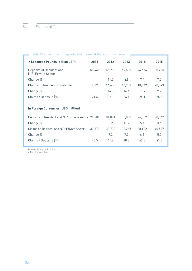| Expression of Bepopits and otaling at Banno (End of perfoa)<br>In Lebanese Pounds (billion LBP) | 2011   | 2012   | 2013   | 2014   | 2015   |
|-------------------------------------------------------------------------------------------------|--------|--------|--------|--------|--------|
| Deposits of Resident and<br>N.R. Private Sector                                                 | 59,445 | 66,296 | 69,535 | 74,656 | 80,265 |
| Change %                                                                                        |        | 11.5   | 4.9    | 7.4    | 7.5    |
| <b>Claims on Resident Private Sector</b>                                                        | 12,820 | 14,653 | 16,757 | 18,749 | 20,573 |
| Change %                                                                                        |        | 14.3   | 14.4   | 11.9   | 9.7    |
| Claims / Deposits (%)                                                                           | 21.6   | 22.1   | 24.1   | 25.1   | 25.6   |
|                                                                                                 |        |        |        |        |        |
| In Foreign Currencies (USD million)                                                             |        |        |        |        |        |
| Deposits of Resident and N.R. Private sector 76,281                                             |        | 81,021 | 90,080 | 94,902 | 98,342 |
| Change %                                                                                        |        | 6.2    | 11.2   | 5.4    | 3.6    |
| Claims on Resident and N.R. Private Sector                                                      | 30,871 | 33,732 | 36,265 | 38,462 | 40,577 |
| Change %                                                                                        |        | 9.3    | 7.5    | 6.1    | 5.5    |
| Claims / Deposits (%)                                                                           | 40.5   | 41.6   | 40.3   | 40.5   | 41.3   |

Table 12 - Evolution of Deposits and Claims at Banks (End of period)

**Source:** Banque du Liban. **N.R=** Non resident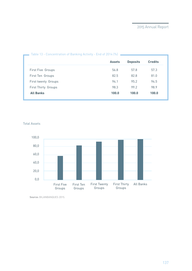| Table 13 - Concentration of Banking Activity - End of 2014 (%) |               |                 |                |  |  |  |
|----------------------------------------------------------------|---------------|-----------------|----------------|--|--|--|
|                                                                | <b>Assets</b> | <b>Deposits</b> | <b>Credits</b> |  |  |  |
| First Five Groups                                              | 56.8          | 57.8            | 57.3           |  |  |  |
| First Ten Groups                                               | 82.5          | 82.8            | 81.0           |  |  |  |
| First twenty Groups                                            | 94.1          | 95.2            | 94.5           |  |  |  |
| <b>First Thirty Groups</b>                                     | 98.3          | 99.2            | 98.9           |  |  |  |
| <b>All Banks</b>                                               | 100.0         | 100.0           | 100.0          |  |  |  |
|                                                                |               |                 |                |  |  |  |

#### Table 13 - Concentration of Banking Activity - End of 2014 (%)



Total Assets

**Source:** BILANBANQUES 2015.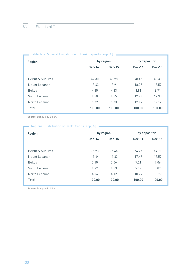| <b>Region</b>    |               | by region     | by depositor  |               |  |
|------------------|---------------|---------------|---------------|---------------|--|
|                  | <b>Dec-14</b> | <b>Dec-15</b> | <b>Dec-14</b> | <b>Dec-15</b> |  |
| Beirut & Suburbs | 69.30         | 68.98         | 48.45         | 48.30         |  |
| Mount Lebanon    | 13.63         | 13.91         | 18.27         | 18.57         |  |
| Bekaa            | 4.85          | 4.83          | 8.81          | 8.71          |  |
| South Lebanon    | 6.50          | 6.55          | 12.28         | 12.30         |  |
| North Lebanon    | 5.72          | 5.73          | 12.19         | 12.12         |  |
| <b>Total</b>     | 100.00        | 100.00        | 100.00        | 100.00        |  |
|                  |               |               |               |               |  |

#### Table 14 - Regional Distribution of Bank Deposits (eop, %)

**Source:** Banque du Liban.

## Regional Distribution of Bank Credits (eop, %)

| <b>Region</b>    | by region |               |          | by depositor  |  |  |
|------------------|-----------|---------------|----------|---------------|--|--|
|                  | $Dec-14$  | <b>Dec-15</b> | $Dec-14$ | <b>Dec-15</b> |  |  |
| Beirut & Suburbs | 76.93     | 76.46         | 54.77    | 54.71         |  |  |
| Mount Lebanon    | 11.44     | 11.83         | 17.49    | 17.57         |  |  |
| Bekaa            | 3.10      | 3.06          | 7.21     | 7.06          |  |  |
| South Lebanon    | 4.47      | 4.53          | 9.79     | 9.87          |  |  |
| North Lebanon    | 4.06      | 4.12          | 10.74    | 10.79         |  |  |
| <b>Total</b>     | 100.00    | 100.00        | 100.00   | 100.00        |  |  |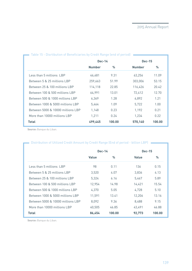|                                   | $Dec-14$      |        | <b>Dec-15</b> |        |
|-----------------------------------|---------------|--------|---------------|--------|
|                                   | <b>Number</b> | ℅      | <b>Number</b> | ℅      |
| Less than 5 millions LBP          | 46,481        | 9.31   | 63.256        | 11.09  |
| Between 5 & 25 millions LBP       | 259,663       | 51.99  | 303,006       | 53.15  |
| Between 25 & 100 millions LBP     | 114.118       | 22.85  | 116,426       | 20.42  |
| Between 100 & 500 millions LBP    | 64,991        | 13.01  | 72,412        | 12.70  |
| Between 500 & 1000 millions LBP   | 6.369         | 1.28   | 6.892         | 1.21   |
| Between 1000 & 5000 millions LBP  | 5,464         | 1.09   | 5,722         | 1.00   |
| Between 5000 & 10000 millions LBP | 1.148         | 0.23   | 1,192         | 0.21   |
| More than 10000 millions LBP      | 1,211         | 0.24   | 1,234         | 0.22   |
| <b>Total</b>                      | 499,445       | 100.00 | 570,140       | 100.00 |

## Table 15 - Disrtibution of Beneficiaries by Credit Range (end of period) –

**Source:** Banque du Liban.

| DISTribution of Utilized Credit Amount by Credit Range (End of period - billion LBP) - |              |        |              |        |
|----------------------------------------------------------------------------------------|--------------|--------|--------------|--------|
|                                                                                        | $Dec-14$     |        | $Dec-15$     |        |
|                                                                                        | <b>Value</b> | $\%$   | <b>Value</b> | %      |
| Less than 5 millions LBP                                                               | 98           | 0.11   | 136          | 0.15   |
| Between 5 & 25 millions LBP                                                            | 3,520        | 4.07   | 3,836        | 4.13   |
| Between 25 & 100 millions LBP                                                          | 5,324        | 6.16   | 5,467        | 5.89   |
| Between 100 & 500 millions LBP                                                         | 12,954       | 14.98  | 14,421       | 15.54  |
| Between 500 & 1000 millions LBP                                                        | 4,370        | 5.05   | 4,728        | 5.10   |
| Between 1000 & 5000 millions LBP                                                       | 11,591       | 13.41  | 12,206       | 13.16  |
| Between 5000 & 10000 millions LBP                                                      | 8.092        | 9.36   | 8,488        | 9.15   |
| More than 10000 millions LBP                                                           | 40.505       | 46.85  | 43.491       | 46.88  |
| <b>Total</b>                                                                           | 86.454       | 100.00 | 92.773       | 100.00 |

Distribution of Utilized Credit Amount by Credit Range (End of period - billion LBP)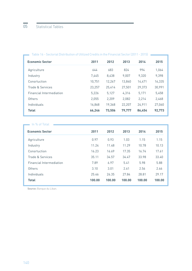| <u> Table 10 - Jectorial Distribution or Ottized Credits In the Financial Jector (2011 - 2019)</u> |        |        |        |        |        |
|----------------------------------------------------------------------------------------------------|--------|--------|--------|--------|--------|
| <b>Economic Sector</b>                                                                             | 2011   | 2012   | 2013   | 2014   | 2015   |
| Agriculture                                                                                        | 644    | 683    | 824    | 994    | 1,064  |
| Industry                                                                                           | 7,445  | 8.438  | 9,007  | 9,320  | 9,398  |
| Consrtuction                                                                                       | 10,751 | 12,267 | 13,840 | 14.471 | 16,335 |
| Trade & Services                                                                                   | 23,257 | 25,414 | 27,501 | 29,373 | 30,991 |
| <b>Financial Intermediation</b>                                                                    | 5,226  | 5,127  | 4,316  | 5,171  | 5,458  |
| Others                                                                                             | 2,055  | 2,209  | 2,082  | 2,214  | 2,468  |
| Individuals                                                                                        | 16,868 | 19,368 | 22,207 | 24,911 | 27,060 |
| <b>Total</b>                                                                                       | 66,246 | 73,506 | 79,777 | 86,454 | 92,773 |

### Table 16 - Sectorial Distribution of Utilized Credits in the Financial Sector (2011 - 2015)

| In % of Total                   |        |        |        |        |        |
|---------------------------------|--------|--------|--------|--------|--------|
| <b>Economic Sector</b>          | 2011   | 2012   | 2013   | 2014   | 2015   |
| Agriculture                     | 0.97   | 0.93   | 1.03   | 1.15   | 1.15   |
| Industry                        | 11.24  | 11.48  | 11.29  | 10.78  | 10.13  |
| Consrtuction                    | 16.23  | 16.69  | 17.35  | 16.74  | 17.61  |
| Trade & Services                | 35.11  | 34.57  | 34.47  | 33.98  | 33.40  |
| <b>Financial Intermediation</b> | 7.89   | 6.97   | 5.41   | 5.98   | 5.88   |
| Others                          | 3.10   | 3.01   | 2.61   | 2.56   | 2.66   |
| Individuals                     | 25.46  | 26.35  | 27.84  | 28.81  | 29.17  |
| <b>Total</b>                    | 100.00 | 100.00 | 100.00 | 100.00 | 100.00 |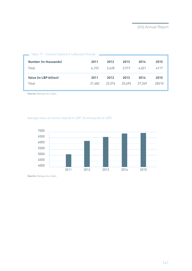| Table 17 - Checks Cleared in Lebanese Pounds |        |        |        |        |       |
|----------------------------------------------|--------|--------|--------|--------|-------|
| <b>Number (in thousands)</b>                 | 2011   | 2012   | 2013   | 2014   | 2015  |
| Total                                        | 4.193  | 3.628  | 3.917  | 4.021  | 4117  |
| <b>Value (in LBP billion)</b>                | 2011   | 2012   | 2013   | 2014   | 2015  |
| Total                                        | 21.482 | 22.574 | 25,695 | 27.349 | 28210 |

**Source:** Banque du Liban.

Average value of checks cleared in LBP (In thousands of LBP)

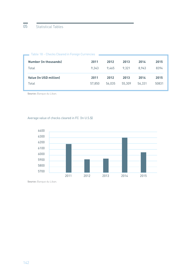| Table 18 - Checks Cleared in Foreign Currencies |        |        |        |        |       |
|-------------------------------------------------|--------|--------|--------|--------|-------|
| <b>Number (in thousands)</b>                    | 2011   | 2012   | 2013   | 2014   | 2015  |
| Total                                           | 9.343  | 9.465  | 9.321  | 8.943  | 8394  |
| <b>Value (In USD million)</b>                   | 2011   | 2012   | 2013   | 2014   | 2015  |
| Total                                           | 57.850 | 56.035 | 55.309 | 56.331 | 50831 |

**Source:** Banque du Liban.

## Average value of checks cleared in FC (In U.S.\$)

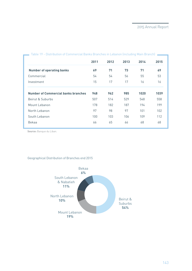|                                            | 2011 | 2012 | 2013 | 2014 | 2015 |
|--------------------------------------------|------|------|------|------|------|
| <b>Number of operating banks</b>           | 69   | 71   | 73   | 71   | 69   |
| Commercial                                 | 54   | 54   | 56   | 55   | 53   |
| Investment                                 | 15   | 17   | 17   | 16   | 16   |
| <b>Number of Commercial banks branches</b> | 948  | 962  | 985  | 1020 | 1039 |
| Beirut & Suburbs                           | 507  | 514  | 529  | 548  | 558  |
| Mount Lebanon                              | 178  | 182  | 187  | 194  | 199  |
| North Lebanon                              | 97   | 98   | 97   | 101  | 102  |
| South Lebanon                              | 100  | 103  | 106  | 109  | 112  |
| Bekaa                                      | 66   | 65   | 66   | 68   | 68   |

Table 19 - Distribution of Commercial Banks Branches in Lebanon (including Main Branch) **-**

**Source:** Banque du Liban.

### Geographical Distribution of Branches end 2015

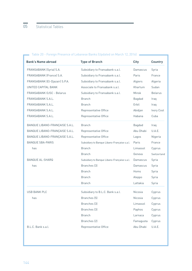| <b>Bank's Name abroad</b>      | <b>Type of Branch</b>                        | <b>City</b>    | <b>Country</b> |
|--------------------------------|----------------------------------------------|----------------|----------------|
| FRANSABANK (Syria) S.A.        | Subsidiary to Fransabank s.a.l.              | Damascus       | Syria          |
| FRANSABANK (France) S.A.       | Subsidiary to Fransabank s.a.l.              | Paris          | France         |
| FRANSABANK (El-Djazair) S.P.A. | Subsidiary to Fransabank s.a.l.              | Algiers        | Algeria        |
| UNITED CAPITAL BANK            | Associate to Fransabank s.a.l.               | <b>Khartum</b> | Sudan          |
| FRANSABANK OJSC - Belarus      | Subsidiary to Fransabank s.a.l.              | Minsk          | <b>Belarus</b> |
| FRANSABANK S.A.L.              | <b>Branch</b>                                | Bagdad         | Iraq           |
| FRANSABANK S.A.L.              | <b>Branch</b>                                | Erbil          | Iraq           |
| FRANSABANK S.A.L.              | Representative Office                        | Abidjan        | Ivory Cost     |
| FRANSABANK S.A.L.              | Representative Office                        | Habana         | Cuba           |
| BANQUE LIBANO-FRANÇAISE S.A.L. | <b>Branch</b>                                | Bagdad         | Iraq           |
| BANQUE LIBANO-FRANÇAISE S.A.L. | Representative Office                        | Abu Dhabi      | U.A.E.         |
| BANQUE LIBANO-FRANÇAISE S.A.L. | Representative Office                        | Lagos          | Nigeria        |
| <b>BANQUE SBA-PARIS</b>        | Subsidiary to Banque Libano-Française s.a.l. | Paris          | France         |
| has                            | <b>Branch</b>                                | Limassol       | Cyprus         |
|                                | <b>Branch</b>                                | Geneva         | Switzerland    |
| <b>BANQUE AL-SHARQ</b>         | Subsidiary to Banque Libano-Française s.a.l. | Damascus       | Syria          |
| has                            | Branches (3)                                 | Damascus       | Syria          |
|                                | <b>Branch</b>                                | Homs           | Syria          |
|                                | <b>Branch</b>                                | Aleppo         | Syria          |
|                                | <b>Branch</b>                                | Lattakia       | Syria          |
| USB BANK PLC                   | Subsidiary to B.L.C. Bank s.a.l.             | <b>Nicosia</b> | Cyprus         |
| has                            | Branches [5]                                 | <b>Nicosia</b> | Cyprus         |
|                                | Branches (3)                                 | Limassol       | Cyprus         |
|                                | Branches (3)                                 | Paphos         | Cyprus         |
|                                | <b>Branch</b>                                | Larnaca        | Cyprus         |
|                                | Branches (2)                                 | Famagusta      | Cyprus         |
| B.L.C. Bank s.a.l.             | Representative Office                        | Abu Dhabi      | U.A.E.         |

## Table 20 - Foreign Presence of Lebanese Banks (Updated on March 12, 2016) **National Engineer Person**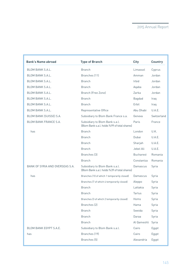| <b>Bank's Name abroad</b>       | <b>Type of Branch</b>                                                          | <b>City</b>      | <b>Country</b> |
|---------------------------------|--------------------------------------------------------------------------------|------------------|----------------|
| <b>BLOM BANK S.A.L.</b>         | <b>Branch</b>                                                                  | Limassol         | Cyprus         |
| <b>BLOM BANK S.A.L.</b>         | Branches (11)                                                                  | Amman            | Jordan         |
| <b>BLOM BANK S.A.L.</b>         | <b>Branch</b>                                                                  | <b>Irbid</b>     | Jordan         |
| <b>BLOM BANK S.A.L.</b>         | <b>Branch</b>                                                                  | Aqaba            | Jordan         |
| <b>BLOM BANK S.A.L.</b>         | Branch (Free Zone)                                                             | Zarka            | Jordan         |
| <b>BLOM BANK S.A.L.</b>         | <b>Branch</b>                                                                  | <b>Bagdad</b>    | Iraq           |
| <b>BLOM BANK S.A.L.</b>         | <b>Branch</b>                                                                  | Erbil            | Iraq           |
| <b>BLOM BANK S.A.L.</b>         | Representative Office                                                          | Abu Dhabi        | U.A.E.         |
| BLOM BANK (SUISSE) S.A.         | Subsidiary to Blom Bank France s.a.                                            | Geneva           | Switzerland    |
| <b>BLOM BANK FRANCE S.A.</b>    | Subsidiary to Blom Bank s.a.l.<br>(Blom Bank s.a.l. holds %99 of total shares) | Paris            | France         |
| has                             | <b>Branch</b>                                                                  | London           | U.K.           |
|                                 | <b>Branch</b>                                                                  | Dubai            | U.A.E.         |
|                                 | <b>Branch</b>                                                                  | Sharjah          | U.A.E.         |
|                                 | <b>Branch</b>                                                                  | Jebel Ali        | U.A.E.         |
|                                 | Branches [3]                                                                   | <b>Bucharest</b> | Romania        |
|                                 | <b>Branch</b>                                                                  | Constantza       | Romania        |
| BANK OF SYRIA AND OVERSEAS S.A. | Subsidiary to Blom Bank s.a.l.<br>(Blom Bank s.a.l. holds %39 of total shares) | Damascus         | Syria          |
| has                             | Branches (10 of which 1 temporarily closed)                                    | Damascus         | Syria          |
|                                 | Branches (7 of which 4 temporarily closed)                                     | Aleppo           | Syria          |
|                                 | <b>Branch</b>                                                                  | Lattakia         | Syria          |
|                                 | <b>Branch</b>                                                                  | <b>Tartus</b>    | Syria          |
|                                 | Branches (3 of which 2 temporarily closed)                                     | Homs             | Syria          |
|                                 | Branches (2)                                                                   | Hama             | Syria          |
|                                 | <b>Branch</b>                                                                  | Sweida           | Syria          |
|                                 | <b>Branch</b>                                                                  | Daraa            | Syria          |
|                                 | <b>Branch</b>                                                                  | Al Qameshli      | Syria          |
| BLOM BANK EGYPT S.A.E.          | Subsidiary to Blom Bank s.a.l.                                                 | Cairo            | Egypt          |
| has                             | Branches (19)                                                                  | Cairo            | Egypt          |
|                                 | Branches (5)                                                                   | Alexandria       | Egypt          |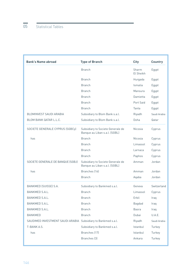| <b>Branch</b><br><b>Branch</b><br><b>Branch</b><br><b>Branch</b><br><b>Branch</b> | Sharm<br>El Sheikh<br>Hurgada<br>Ismalia<br>Mansura<br>Damietta<br>Port Said | Egypt<br>Egypt<br>Egypt<br>Egypt<br>Egypt |
|-----------------------------------------------------------------------------------|------------------------------------------------------------------------------|-------------------------------------------|
|                                                                                   |                                                                              |                                           |
|                                                                                   |                                                                              |                                           |
|                                                                                   |                                                                              |                                           |
|                                                                                   |                                                                              |                                           |
|                                                                                   |                                                                              |                                           |
| <b>Branch</b>                                                                     |                                                                              | Egypt                                     |
| <b>Branch</b>                                                                     | Tanta                                                                        | Egypt                                     |
| BLOMINVEST SAUDI ARABIA<br>Subsidiary to Blom Bank s.a.l.                         | Riyadh                                                                       | Saudi Arabia                              |
| <b>BLOM BANK QATAR L.L.C.</b><br>Subsidiary to Blom Bank s.a.l.                   | Doha                                                                         | Qatar                                     |
| SOCIETE GENERALE CYPRUS (SGBCy)<br>Banque au Liban s.a.l. (SGBL)                  | Subsidiary to Societe Generale de<br>Nicosia                                 | Cyprus                                    |
| <b>Branch</b><br>has                                                              | <b>Nicosia</b>                                                               | Cyprus                                    |
| <b>Branch</b>                                                                     | Limassol                                                                     | Cyprus                                    |
| <b>Branch</b>                                                                     | Larnaca                                                                      | Cyprus                                    |
| <b>Branch</b>                                                                     | Paphos                                                                       | Cyprus                                    |
| SOCIETE GENERALE DE BANQUE (SGBJ)<br>Banque au Liban s.a.l. (SGBL)                | Subsidiary to Societe Generale de<br>Amman                                   | Jordan                                    |
| Branches (16)<br>has                                                              | Amman                                                                        | Jordan                                    |
| <b>Branch</b>                                                                     | Aqaba                                                                        | Jordan                                    |
| <b>BANKMED (SUISSE) S.A.</b><br>Subsidiary to Bankmed s.a.l.                      | Geneva                                                                       | Switzerland                               |
| BANKMED S.A.L.<br><b>Branch</b>                                                   | Limassol                                                                     | Cyprus                                    |
| BANKMED S.A.L.<br><b>Branch</b>                                                   | Erbil                                                                        | Iraq                                      |
| <b>Branch</b><br><b>BANKMED S.A.L.</b>                                            | <b>Bagdad</b>                                                                | Iraq                                      |
| <b>Branch</b><br>BANKMED S.A.L.                                                   | <b>Basra</b>                                                                 | Iraq                                      |
| <b>Branch</b><br><b>BANKMED</b>                                                   | Dubai                                                                        | U.A.E.                                    |
| SAUDIMED INVESTMENT SAUDI ARABIA<br>Subsidiary to Bankmed s.a.l.                  | Riyadh                                                                       | Saudi Arabia                              |
| T-BANK A.S.<br>Subsidiary to Bankmed s.a.l.                                       | Istanbul                                                                     | Turkey                                    |
| Branches (17)<br>has                                                              | Istanbul                                                                     | Turkey                                    |
| Branches (3)                                                                      | Ankara                                                                       | Turkey                                    |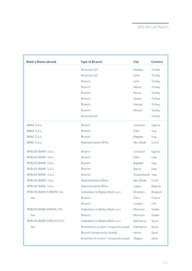| <b>Bank's Name abroad</b>  | <b>Type of Branch</b>                      | <b>City</b>      | <b>Country</b> |
|----------------------------|--------------------------------------------|------------------|----------------|
|                            | Branches (2)                               | Antalya          | Turkey         |
|                            | Branches (2)                               | Izmit            | Turkey         |
|                            | <b>Branch</b>                              | Izmir            | Turkey         |
|                            | <b>Branch</b>                              | Adana            | Turkey         |
|                            | <b>Branch</b>                              | <b>Bursa</b>     | Turkey         |
|                            | <b>Branch</b>                              | Konya            | Turkey         |
|                            | <b>Branch</b>                              | Kayseri          | Turkey         |
|                            | <b>Branch</b>                              | Denizli          | Turkey         |
|                            | Branches (4)                               |                  | Turkey         |
| BBAC S.A.L.                | <b>Branch</b>                              | Limassol         | Cyprus         |
| BBAC S.A.L.                | <b>Branch</b>                              | Erbil            | Iraq           |
| BBAC S.A.L.                | <b>Branch</b>                              | <b>Bagdad</b>    | Iraq           |
| BBAC S.A.L.                | Representative Office                      | Abu Dhabi        | U.A.E.         |
| BYBLOS BANK S.A.L.         | <b>Branch</b>                              | Limassol         | Cyprus         |
| BYBLOS BANK S.A.L.         | <b>Branch</b>                              | Erbil            | Iraq           |
| BYBLOS BANK S.A.L.         | <b>Branch</b>                              | Bagdad           | Iraq           |
| BYBLOS BANK S.A.L.         | <b>Branch</b>                              | <b>Basra</b>     | Iraq           |
| BYBLOS BANK S.A.L.         | <b>Branch</b>                              | Suleymaniah Iraq |                |
| BYBLOS BANK S.A.L.         | Representative Office                      | Abu Dhabi        | U A F          |
| BYBLOS BANK S.A.L.         | Representative Office                      | Lagos            | Nigeria        |
| BYBLOS BANK EUROPE S.A.    | Subsidiary to Byblos Bank s.a.l.           | <b>Brussels</b>  | Belgium        |
| has                        | <b>Branch</b>                              | Paris            | France         |
|                            | <b>Branch</b>                              | London           | U.K.           |
| BYBLOS BANK AFRICA LTD.    | Subsidiary to Byblos Bank s.a.l.           | Khartum          | Sudan          |
| has                        | <b>Branch</b>                              | Khartum          | Sudan          |
| BYBLOS BANK SYRIA P.G.S.C. | Subsidiary to Byblos Bank s.a.l.           | Damascus         | Syria          |
| has                        | Branches (4 of which 1 temporarily closed) | Damascus         | Syria          |
|                            | Branch (temporarily closed)                | Homs             | Syria          |
|                            | Branches (2 of which 1 temporarily closed) | Aleppo           | Syria          |
|                            |                                            |                  |                |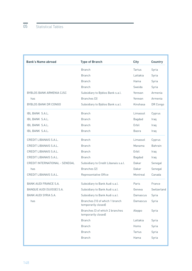| <b>Bank's Name abroad</b>       | <b>Type of Branch</b>                                  | <b>City</b>   | <b>Country</b> |
|---------------------------------|--------------------------------------------------------|---------------|----------------|
|                                 | <b>Branch</b>                                          | <b>Tartus</b> | Syria          |
|                                 | <b>Branch</b>                                          | Lattakia      | Syria          |
|                                 | <b>Branch</b>                                          | Hama          | Syria          |
|                                 | <b>Branch</b>                                          | Sweida        | Syria          |
| <b>BYBLOS BANK ARMENIA CJSC</b> | Subsidiary to Byblos Bank s.a.l.                       | Yerevan       | Armenia        |
| has                             | Branches [3]                                           | Yerevan       | Armenia        |
| <b>BYBLOS BANK DR CONGO</b>     | Subsidiary to Byblos Bank s.a.l.                       | Kinshasa      | DR Congo       |
| <b>IBL BANK S.A.L.</b>          | <b>Branch</b>                                          | Limassol      | Cyprus         |
| IBL BANK S.A.L.                 | <b>Branch</b>                                          | <b>Bagdad</b> | Iraq           |
| <b>IBL BANK S.A.L.</b>          | <b>Branch</b>                                          | Erbil         | Iraq           |
| <b>IBL BANK S.A.L.</b>          | <b>Branch</b>                                          | <b>Basra</b>  | Iraq           |
| CREDIT LIBANAIS S.A.L.          | <b>Branch</b>                                          | Limassol      | Cyprus         |
| CREDIT LIBANAIS S.A.L.          | <b>Branch</b>                                          | Manama        | <b>Bahrain</b> |
| CREDIT LIBANAIS S.A.L.          | <b>Branch</b>                                          | Erbil         | Iraq           |
| CREDIT LIBANAIS S.A.L.          | <b>Branch</b>                                          | <b>Bagdad</b> | Iraq           |
| CREDIT INTERNATIONAL - SENEGAL  | Subsidiary to Credit Libanais s.a.l.                   | Dakar         | Senegal        |
| has                             | Branches (2)                                           | Dakar         | Senegal        |
| CREDIT LIBANAIS S.A.L.          | Representative Office                                  | Montreal      | Canada         |
| <b>BANK AUDI FRANCE S.A.</b>    | Subsidiary to Bank Audi s.a.l.                         | Paris         | France         |
| BANQUE AUDI (SUISSE) S.A.       | Subsidiary to Bank Audi s.a.l.                         | Geneva        | Switzerland    |
| BANK AUDI SYRIA S.A.            | Subsidiary to Bank Audi s.a.l.                         | Damascus      | Syria          |
| has                             | Branches (10 of which 1 branch<br>temporarily closed)  | Damascus      | Syria          |
|                                 | Branches (3 of which 2 branches<br>temporarily closed) | Aleppo        | Syria          |
|                                 | <b>Branch</b>                                          | Lattakia      | Syria          |
|                                 | <b>Branch</b>                                          | Homs          | Syria          |
|                                 | <b>Branch</b>                                          | Tartus        | Syria          |
|                                 | <b>Branch</b>                                          | Hama          | Syria          |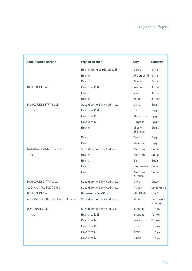| <b>Bank's Name abroad</b>         | <b>Type of Branch</b>          | <b>City</b>         | <b>Country</b>           |
|-----------------------------------|--------------------------------|---------------------|--------------------------|
|                                   | Branch (temporarily closed)    | Daraa               | Syria                    |
|                                   | <b>Branch</b>                  | Al Qameshli         | Syria                    |
|                                   | <b>Branch</b>                  | Sweida              | Syria                    |
| <b>BANK AUDI S.A.L.</b>           | Branches (11)                  | Amman               | Jordan                   |
|                                   | <b>Branch</b>                  | Irbid               | Jordan                   |
|                                   | <b>Branch</b>                  | Aqaba               | Jordan                   |
| BANK AUDI EGYPT S.A.E.            | Subsidiary to Bank Audi s.a.l. | Cairo               | Egypt                    |
| has                               | Branches (29)                  | Cairo               | Egypt                    |
|                                   | Branches [5]                   | Alexandria          | Egypt                    |
|                                   | Branches (2)                   | Hurgada             | Egypt                    |
|                                   | <b>Branch</b>                  | Sharm<br>El Sheikh  | Egypt                    |
|                                   | <b>Branch</b>                  | Tanta               | Egypt                    |
|                                   | <b>Branch</b>                  | Mansura             | Egypt                    |
| NATIONAL BANK OF SUDAN            | Subsidiary to Bank Audi s.a.l. | Khartum             | Sudan                    |
| has                               | <b>Branch</b>                  | Khartum             | Sudan                    |
|                                   | <b>Branch</b>                  | Bahri               | Sudan                    |
|                                   | <b>Branch</b>                  | Omdurman            | Sudan                    |
|                                   | <b>Branch</b>                  | Khartum<br>(Suburb) | Sudan                    |
| BANK AUDI QATAR L.L.C.            | Subsidiary to Bank Audi s.a.l. | Doha                | Qatar                    |
| AUDI CAPITAL (KSA) CJSC           | Subsidiary to Bank Audi s.a.l. | Riyadh              | Saudi Arabia             |
| <b>BANK AUDI S.A.L.</b>           | Representative Office          | Abu Dhabi           | U.A.E.                   |
| AUDI CAPITAL GESTION sam (Monaco) | Subsidiary to Bank Audi s.a.l. | Monaco              | Principauté<br>de Monaco |
| ODEA BANK A.S.                    | Subsidiary to Bank Audi s.a.l. | Istanbul            | Turkey                   |
| has                               | Branches (28)                  | Istanbul            | Turkey                   |
|                                   | Branches (4)                   | Ankara              | Turkey                   |
|                                   | Branches (5)                   | Izmir               | Turkey                   |
|                                   | Branches (3)                   | Izmit               | Turkey                   |
|                                   | Branches (2)                   | <b>Bursa</b>        | Turkey                   |
|                                   |                                |                     |                          |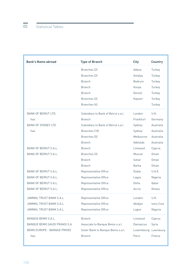| <b>Bank's Name abroad</b>     | <b>Type of Branch</b>               | <b>City</b>  | <b>Country</b> |
|-------------------------------|-------------------------------------|--------------|----------------|
|                               | Branches (2)                        | Adana        | Turkey         |
|                               | Branches (2)                        | Antalya      | Turkey         |
|                               | <b>Branch</b>                       | Bodrum       | Turkey         |
|                               | <b>Branch</b>                       | Konya        | Turkey         |
|                               | <b>Branch</b>                       | Denizli      | Turkey         |
|                               | Branches (2)                        | Kayseri      | Turkey         |
|                               | Branches (4)                        |              | Turkey         |
| <b>BANK OF BEIRUT LTD.</b>    | Subsidiary to Bank of Beirut s.a.l. | London       | U.K.           |
| has                           | <b>Branch</b>                       | Frankfurt    | Germany        |
| <b>BANK OF SYDNEY LTD.</b>    | Subsidiary to Bank of Beirut s.a.l. | Sydney       | Australia      |
| has                           | Branches (10)                       | Sydney       | Australia      |
|                               | Branches (5)                        | Melbourne    | Australia      |
|                               | <b>Branch</b>                       | Adelaide     | Australia      |
| BANK OF BEIRUT S.A.L.         | <b>Branch</b>                       | Limassol     | Cyprus         |
| <b>BANK OF BEIRUT S.A.L.</b>  | Branches (3)                        | Muscat       | Oman           |
|                               | <b>Branch</b>                       | Sohar        | Oman           |
|                               | <b>Branch</b>                       | <b>Barka</b> | Oman           |
| <b>BANK OF BEIRUT S.A.L.</b>  | Representative Office               | Dubai        | U.A.E.         |
| <b>BANK OF BEIRUT S.A.L.</b>  | Representative Office               | Lagos        | Nigeria        |
| <b>BANK OF BEIRUT S.A.L.</b>  | Representative Office               | Doha         | Qatar          |
| <b>BANK OF BEIRUT S.A.L.</b>  | Representative Office               | Accra        | Ghana          |
| JAMMAL TRUST BANK S.A.L.      | Representative Office               | London       | U.K.           |
| JAMMAL TRUST BANK S.A.L.      | Representative Office               | Abidjan      | Ivory Cost     |
| JAMMAL TRUST BANK S.A.L.      | Representative Office               | Lagos        | Nigeria        |
| <b>BANQUE BEMO S.A.L.</b>     | <b>Branch</b>                       | Limassol     | Cyprus         |
| BANQUE BEMO SAUDI FRANSI S.A. | Associate to Banque Bemo s.a.l.     | Damascus     | Syria          |
| BEMO EUROPE - BANQUE PRIVEE   | Sister Bank to Banque Bemo s.a.l.   | Luxembourg   | Luxembourg     |
| has                           | <b>Branch</b>                       | Paris        | France         |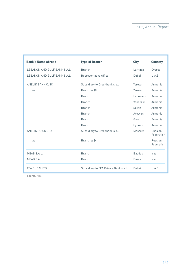| <b>Bank's Name abroad</b>    | <b>Type of Branch</b>                 | <b>City</b>   | <b>Country</b>        |
|------------------------------|---------------------------------------|---------------|-----------------------|
| LEBANON AND GULF BANK S.A.L. | <b>Branch</b>                         | Larnaca       | Cyprus                |
| LEBANON AND GULF BANK S.A.L. | Representative Office                 | Dubai         | U.A.E.                |
| ANELIK BANK CJSC             | Subsidiary to Creditbank s.a.l.       | Yerevan       | Armenia               |
| has                          | Branches (8)                          | Yerevan       | Armenia               |
|                              | <b>Branch</b>                         | Echmiadzin    | Armenia               |
|                              | <b>Branch</b>                         | Vanadzor      | Armenia               |
|                              | <b>Branch</b>                         | Sevan         | Armenia               |
|                              | <b>Branch</b>                         | Avovyan       | Armenia               |
|                              | <b>Branch</b>                         | Gavar         | Armenia               |
|                              | <b>Branch</b>                         | Gyumri        | Armenia               |
| ANELIK RU CO LTD             | Subsidiary to Creditbank s.a.l.       | Moscow        | Russian<br>Federation |
| has                          | Branches (4)                          |               | Russian<br>Federation |
| MEAB S.A.L.                  | <b>Branch</b>                         | <b>Bagdad</b> | Iraq                  |
| MEAB S.A.L.                  | <b>Branch</b>                         | <b>Basra</b>  | Iraq                  |
| FFA DUBAI LTD.               | Subsidiary to FFA Private Bank s.a.l. | Dubai         | U.A.E.                |

**Source:** ABL.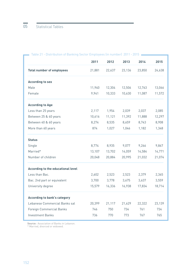|                                     | 2011   | 2012   | 2013   | 2014   | 2015   |
|-------------------------------------|--------|--------|--------|--------|--------|
| <b>Total number of employees</b>    | 21,881 | 22,637 | 23,136 | 23,850 | 24,638 |
| <b>According to sex</b>             |        |        |        |        |        |
| Male                                | 11,940 | 12,304 | 12,506 | 12,763 | 13,066 |
| Female                              | 9,941  | 10,333 | 10,630 | 11,087 | 11,572 |
| <b>According to Age</b>             |        |        |        |        |        |
| Less than 25 years                  | 2,117  | 1,954  | 2,039  | 2,037  | 2,085  |
| Between 25 & 40 years               | 10,616 | 11,121 | 11,392 | 11,888 | 12,297 |
| Between 40 & 60 years               | 8,274  | 8,535  | 8,659  | 8,743  | 8,908  |
| More than 60 years                  | 874    | 1,027  | 1,046  | 1,182  | 1,348  |
| <b>Status</b>                       |        |        |        |        |        |
| Single                              | 8,774  | 8,935  | 9,077  | 9,266  | 9,867  |
| Married*                            | 13,107 | 13,702 | 14,059 | 14,584 | 14,771 |
| Number of children                  | 20,048 | 20,884 | 20,995 | 21,032 | 21,074 |
| According to the educational level  |        |        |        |        |        |
| Less than Bac.                      | 2,602  | 2,523  | 2,523  | 2,379  | 2,365  |
| Bac. 2nd part or equivalent         | 3,700  | 3,778  | 3,675  | 3,637  | 3,559  |
| University degree                   | 15,579 | 16,336 | 16,938 | 17,834 | 18,714 |
| <b>According to bank's category</b> |        |        |        |        |        |
| Lebanese Commercial Banks sal       | 20,399 | 21,117 | 21,629 | 22,322 | 23,139 |
| <b>Foreign Commercial Banks</b>     | 746    | 750    | 734    | 761    | 734    |
| <b>Investment Banks</b>             | 736    | 770    | 773    | 767    | 765    |

#### Table 21 - Distribution of Banking Sector Employees (in number) 2011 - 2015

**Source:** Association of Banks in Lebanon.

\* Married, divorced or widowed.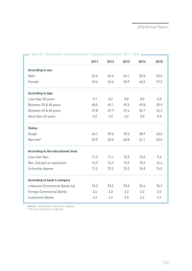|                                     | 2011 | 2012 | 2013 | 2014 | 2015 |
|-------------------------------------|------|------|------|------|------|
| <b>According to sex</b>             |      |      |      |      |      |
| Male                                | 54.6 | 54.4 | 54.1 | 53.5 | 53.0 |
| Female                              | 45.4 | 45.6 | 45.9 | 46.5 | 47.0 |
| <b>According to Age</b>             |      |      |      |      |      |
| Less than 25 years                  | 9.7  | 8.6  | 8.8  | 8.5  | 8.5  |
| Between 25 & 40 years               | 48.5 | 49.1 | 49.2 | 49.8 | 49.9 |
| Between 40 & 60 years               | 37.8 | 37.7 | 37.4 | 36.7 | 36.2 |
| More than 60 years                  | 4.0  | 4.5  | 4.5  | 5.0  | 5.5  |
| <b>Status</b>                       |      |      |      |      |      |
| Single                              | 40.1 | 39.5 | 39.2 | 38.9 | 40.0 |
| Married*                            | 59.9 | 60.5 | 60.8 | 61.1 | 60.0 |
| According to the educational level  |      |      |      |      |      |
| Less than Bac.                      | 11.9 | 11.1 | 10.9 | 10.0 | 9.6  |
| Bac. 2nd part or equivalent         | 16.9 | 16.7 | 15.9 | 15.2 | 14.4 |
| University degree                   | 71.2 | 72.2 | 73.2 | 74.8 | 76.0 |
| <b>According to bank's category</b> |      |      |      |      |      |
| Lebanese Commercial Banks sal       | 93.2 | 93.3 | 93.5 | 93.6 | 93.9 |
| <b>Foreign Commercial Banks</b>     | 3.4  | 3.3  | 3.2  | 3.2  | 3.0  |
| <b>Investment Banks</b>             | 3.4  | 3.4  | 3.3  | 3.2  | 3.1  |
|                                     |      |      |      |      |      |

Table 22 - Distribution of Banking Sector Employees (in percent) 2011 - 2015

**Source:** Association of Banks in Lebanon.

\* Married, divorced or widowed.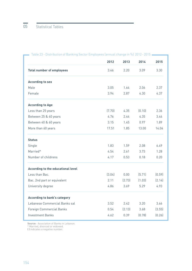|                                     | 2012   | 2013   | 2014   | 2015   |
|-------------------------------------|--------|--------|--------|--------|
| <b>Total number of employees</b>    | 3.46   | 2.20   | 3.09   | 3.30   |
| <b>According to sex</b>             |        |        |        |        |
| Male                                | 3.05   | 1.64   | 2.06   | 2.37   |
| Female                              | 3.94   | 2.87   | 4.30   | 4.37   |
| <b>According to Age</b>             |        |        |        |        |
| Less than 25 years                  | (7.70) | 4.35   | (0.10) | 2.36   |
| Between 25 & 40 years               | 4.76   | 2.44   | 4.35   | 3.44   |
| Between 40 & 60 years               | 3.15   | 1.45   | 0.97   | 1.89   |
| More than 60 years                  | 17.51  | 1.85   | 13.00  | 14.04  |
| <b>Status</b>                       |        |        |        |        |
| Single                              | 1.83   | 1.59   | 2.08   | 6.49   |
| Married*                            | 4.54   | 2.61   | 3.73   | 1.28   |
| Number of childrens                 | 4.17   | 0.53   | 0.18   | 0.20   |
| According to the educational level  |        |        |        |        |
| Less than Bac.                      | (3.04) | 0.00   | (5.71) | (0.59) |
| Bac. 2nd part or equivalent         | 2.11   | (2.73) | (1.03) | (2.14) |
| University degree                   | 4.86   | 3.69   | 5.29   | 4.93   |
| <b>According to bank's category</b> |        |        |        |        |
| Lebanese Commercial Banks sal       | 3.52   | 2.42   | 3.20   | 3.66   |
| <b>Foreign Commercial Banks</b>     | 0.54   | (2.13) | 3.68   | (3.55) |
| <b>Investment Banks</b>             | 4.62   | 0.39   | (0.78) | (0.26) |
|                                     |        |        |        |        |

Table 23 - Distribution of Banking Sector Employees (annual change in %) 2012 - 2015

**Source:** Association of Banks in Lebanon.

\* Married, divorced or widowed.

**( )** indicates a negative number.